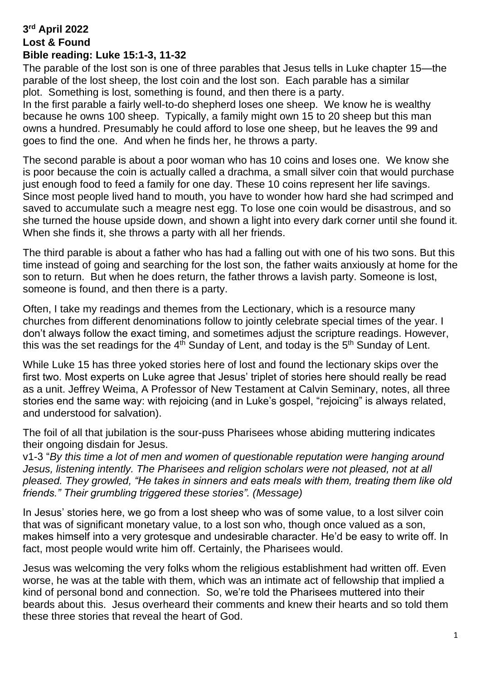## **3 rd April 2022 Lost & Found Bible reading: Luke 15:1-3, 11-32**

The parable of the lost son is one of three parables that Jesus tells in Luke chapter 15—the parable of the lost sheep, the lost coin and the lost son. Each parable has a similar plot. Something is lost, something is found, and then there is a party.

In the first parable a fairly well-to-do shepherd loses one sheep. We know he is wealthy because he owns 100 sheep. Typically, a family might own 15 to 20 sheep but this man owns a hundred. Presumably he could afford to lose one sheep, but he leaves the 99 and goes to find the one. And when he finds her, he throws a party.

The second parable is about a poor woman who has 10 coins and loses one. We know she is poor because the coin is actually called a drachma, a small silver coin that would purchase just enough food to feed a family for one day. These 10 coins represent her life savings. Since most people lived hand to mouth, you have to wonder how hard she had scrimped and saved to accumulate such a meagre nest egg. To lose one coin would be disastrous, and so she turned the house upside down, and shown a light into every dark corner until she found it. When she finds it, she throws a party with all her friends.

The third parable is about a father who has had a falling out with one of his two sons. But this time instead of going and searching for the lost son, the father waits anxiously at home for the son to return. But when he does return, the father throws a lavish party. Someone is lost, someone is found, and then there is a party.

Often, I take my readings and themes from the Lectionary, which is a resource many churches from different denominations follow to jointly celebrate special times of the year. I don't always follow the exact timing, and sometimes adjust the scripture readings. However, this was the set readings for the  $4<sup>th</sup>$  Sunday of Lent, and today is the  $5<sup>th</sup>$  Sunday of Lent.

While Luke 15 has three yoked stories here of lost and found the lectionary skips over the first two. Most experts on Luke agree that Jesus' triplet of stories here should really be read as a unit. Jeffrey Weima, A Professor of New Testament at Calvin Seminary, notes, all three stories end the same way: with rejoicing (and in Luke's gospel, "rejoicing" is always related, and understood for salvation).

The foil of all that jubilation is the sour-puss Pharisees whose abiding muttering indicates their ongoing disdain for Jesus.

v1-3 "*By this time a lot of men and women of questionable reputation were hanging around Jesus, listening intently. The Pharisees and religion scholars were not pleased, not at all pleased. They growled, "He takes in sinners and eats meals with them, treating them like old friends." Their grumbling triggered these stories". (Message)*

In Jesus' stories here, we go from a lost sheep who was of some value, to a lost silver coin that was of significant monetary value, to a lost son who, though once valued as a son, makes himself into a very grotesque and undesirable character. He'd be easy to write off. In fact, most people would write him off. Certainly, the Pharisees would.

Jesus was welcoming the very folks whom the religious establishment had written off. Even worse, he was at the table with them, which was an intimate act of fellowship that implied a kind of personal bond and connection. So, we're told the Pharisees muttered into their beards about this. Jesus overheard their comments and knew their hearts and so told them these three stories that reveal the heart of God.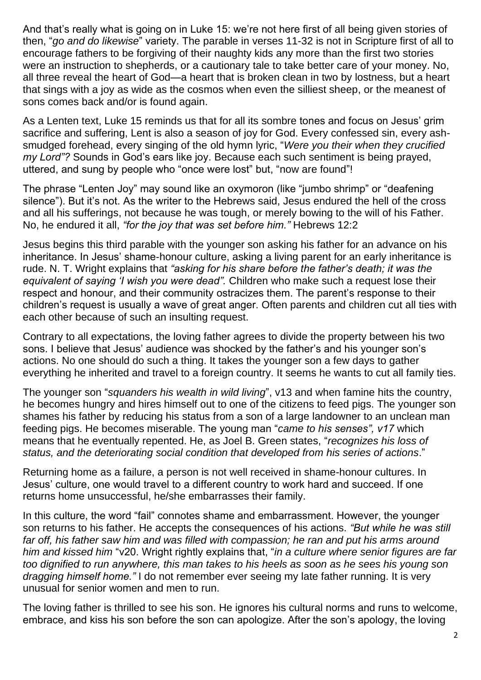And that's really what is going on in Luke 15: we're not here first of all being given stories of then, "*go and do likewise*" variety. The parable in verses 11-32 is not in Scripture first of all to encourage fathers to be forgiving of their naughty kids any more than the first two stories were an instruction to shepherds, or a cautionary tale to take better care of your money. No, all three reveal the heart of God—a heart that is broken clean in two by lostness, but a heart that sings with a joy as wide as the cosmos when even the silliest sheep, or the meanest of sons comes back and/or is found again.

As a Lenten text, Luke 15 reminds us that for all its sombre tones and focus on Jesus' grim sacrifice and suffering, Lent is also a season of joy for God. Every confessed sin, every ashsmudged forehead, every singing of the old hymn lyric, "*Were you their when they crucified my Lord"?* Sounds in God's ears like joy. Because each such sentiment is being prayed, uttered, and sung by people who "once were lost" but, "now are found"!

The phrase "Lenten Joy" may sound like an oxymoron (like "jumbo shrimp" or "deafening silence"). But it's not. As the writer to the Hebrews said, Jesus endured the hell of the cross and all his sufferings, not because he was tough, or merely bowing to the will of his Father. No, he endured it all, *"for the joy that was set before him."* Hebrews 12:2

Jesus begins this third parable with the younger son asking his father for an advance on his inheritance. In Jesus' shame-honour culture, asking a living parent for an early inheritance is rude. N. T. Wright explains that *"asking for his share before the father's death; it was the equivalent of saying 'I wish you were dead".* Children who make such a request lose their respect and honour, and their community ostracizes them. The parent's response to their children's request is usually a wave of great anger. Often parents and children cut all ties with each other because of such an insulting request.

Contrary to all expectations, the loving father agrees to divide the property between his two sons. I believe that Jesus' audience was shocked by the father's and his younger son's actions. No one should do such a thing. It takes the younger son a few days to gather everything he inherited and travel to a foreign country. It seems he wants to cut all family ties.

The younger son "*squanders his wealth in wild living*", v13 and when famine hits the country, he becomes hungry and hires himself out to one of the citizens to feed pigs. The younger son shames his father by reducing his status from a son of a large landowner to an unclean man feeding pigs. He becomes miserable. The young man "*came to his senses", v17* which means that he eventually repented. He, as Joel B. Green states, "*recognizes his loss of status, and the deteriorating social condition that developed from his series of actions*."

Returning home as a failure, a person is not well received in shame-honour cultures. In Jesus' culture, one would travel to a different country to work hard and succeed. If one returns home unsuccessful, he/she embarrasses their family.

In this culture, the word "fail" connotes shame and embarrassment. However, the younger son returns to his father. He accepts the consequences of his actions. *"But while he was still far off, his father saw him and was filled with compassion; he ran and put his arms around him and kissed him* "v20. Wright rightly explains that, "*in a culture where senior figures are far too dignified to run anywhere, this man takes to his heels as soon as he sees his young son dragging himself home."* I do not remember ever seeing my late father running. It is very unusual for senior women and men to run.

The loving father is thrilled to see his son. He ignores his cultural norms and runs to welcome, embrace, and kiss his son before the son can apologize. After the son's apology, the loving